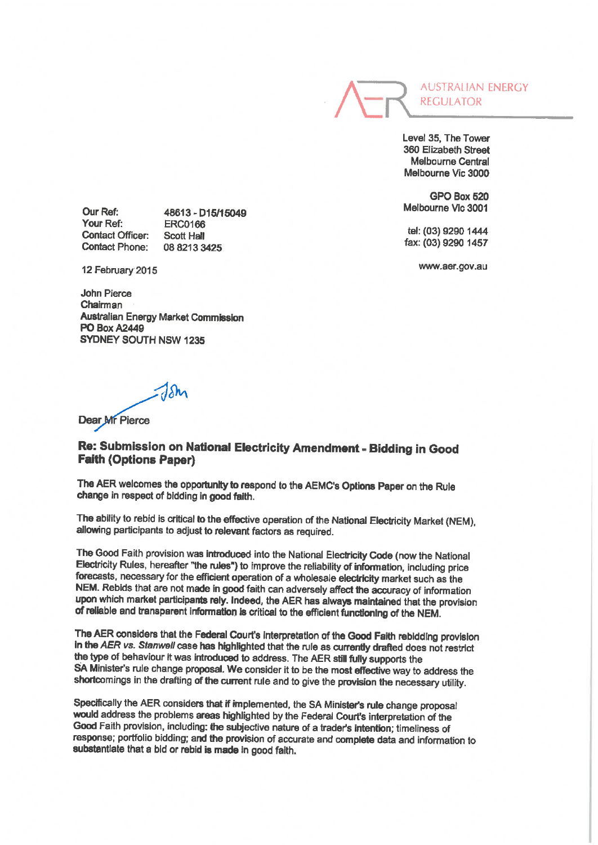

Level 35, The Tower 360 Elizabeth Street Melbourne Central Melbourne Vie 3000

GPO Box 520 Melbourne Vie 3001

tel: (03) 9290 1444 fax: (03) 9290 1457

www.aer.gov.au

Our Ref: Your Ref: Contact Officer: Contact Phone: 48613-D15/15049 ERC0166 Soott Hall 0882133425

12 February 2015

John Pierce Chairman Australian Energy Market Commission **PO Box A2449** SYDNEY SOUTH NSW 1235

**Dear Mr Pierce** 

## Re: Submission on National Electricity Amendment - Bidding in Good Faith (Options Paper)

The AER welcomes the opportunity to respond to the AEMC's Options Paper on the Rule change in respect of bidding in good faith.

The ability to rebid is critical to the effective operation of the National Electricity Market (NEM), allowing participants to adjust to relevant factors as required.

The Good Faith provision was introduced into the National Electricity Code (now the National Electricity Rules, hereafter "the rules") to improve the reliability of information, including price forecasts, necessary for the efficient operation of a wholesale electricity market such as the NEM. Rebids that are not made in good faith can adversely affect the accuracy of information upon which market participants rely. Indeed, the AER has always maintained that the provision of reliable and transparent information is critical to the efficient functioning of the NEM.

The AER considers that the Federal Court's interpretation of the Good Faith rebidding provision in the AER vs. Stanwell case has highlighted that the rule as currently drafted does not restrict the type of behaviour it was introduced to address. The AER sfll fully supports the SA Minister's rule change proposal. We consider it to be the most effective way to address the shortcomings in the drafting of the current rule and to give the provision the necessary utility.

Specffically the AER considers that if implemented, the SA Minister's rule change proposal would address the problems areas highlighted by the Federal Court's interpretation of the Good Faith provision, including: the subjective nature of a trader's intention; timeliness of response; portfolio bidding; and the provision of accurate and complete data and information to substantiate that a bid or rebid is made in good faith.